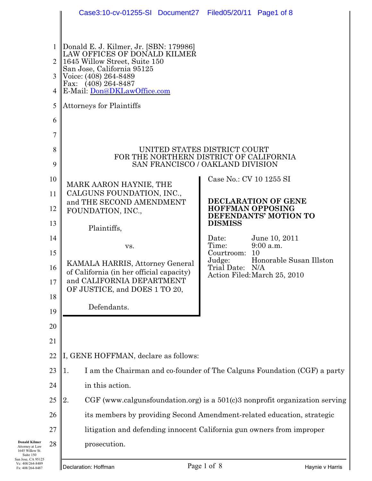|                                                                                | Case3:10-cv-01255-SI Document27 Filed05/20/11 Page1 of 8                                                                                                                                                                                                                                                                                                                      |                           |                                                        |  |  |
|--------------------------------------------------------------------------------|-------------------------------------------------------------------------------------------------------------------------------------------------------------------------------------------------------------------------------------------------------------------------------------------------------------------------------------------------------------------------------|---------------------------|--------------------------------------------------------|--|--|
| $\mathbf{1}$<br>$\mathcal{D}_{\mathcal{L}}$<br>3<br>4<br>5<br>6<br>7<br>8<br>9 | Donald E. J. Kilmer, Jr. [SBN: 179986]<br>LAW OFFICES OF DONALD KILMER<br>1645 Willow Street, Suite 150<br>San Jose, California 95125<br>Voice: (408) 264-8489<br>Fax: (408) 264-8487<br>E-Mail: Don@DKLawOffice.com<br><b>Attorneys for Plaintiffs</b><br>UNITED STATES DISTRICT COURT<br>FOR THE NORTHERN DISTRICT OF CALIFORNIA<br><b>SAN FRANCISCO / OAKLAND DIVISION</b> |                           |                                                        |  |  |
| 10                                                                             |                                                                                                                                                                                                                                                                                                                                                                               | Case No.: CV 10 1255 SI   |                                                        |  |  |
| 11                                                                             | MARK AARON HAYNIE, THE<br>CALGUNS FOUNDATION, INC.,                                                                                                                                                                                                                                                                                                                           |                           |                                                        |  |  |
| 12                                                                             | and THE SECOND AMENDMENT<br>FOUNDATION, INC.,                                                                                                                                                                                                                                                                                                                                 | <b>HOFFMAN OPPOSING</b>   | DECLARATION OF GENE                                    |  |  |
| 13                                                                             | Plaintiffs,                                                                                                                                                                                                                                                                                                                                                                   | <b>DISMISS</b>            | DEFENDANTS' MOTION TO                                  |  |  |
| 14                                                                             |                                                                                                                                                                                                                                                                                                                                                                               | Date:                     | June 10, 2011                                          |  |  |
| 15                                                                             | VS.                                                                                                                                                                                                                                                                                                                                                                           | Time:<br>Courtroom: 10    | 9:00 a.m.                                              |  |  |
| 16                                                                             | KAMALA HARRIS, Attorney General<br>of California (in her official capacity)                                                                                                                                                                                                                                                                                                   | Judge:<br>Trial Date: N/A | Honorable Susan Illston<br>Action Filed:March 25, 2010 |  |  |
| 17                                                                             | and CALIFORNIA DEPARTMENT<br>OF JUSTICE, and DOES 1 TO 20,                                                                                                                                                                                                                                                                                                                    |                           |                                                        |  |  |
| 18                                                                             | Defendants.                                                                                                                                                                                                                                                                                                                                                                   |                           |                                                        |  |  |
| 19                                                                             |                                                                                                                                                                                                                                                                                                                                                                               |                           |                                                        |  |  |
| 20                                                                             |                                                                                                                                                                                                                                                                                                                                                                               |                           |                                                        |  |  |
| 21                                                                             |                                                                                                                                                                                                                                                                                                                                                                               |                           |                                                        |  |  |
| 22                                                                             | I, GENE HOFFMAN, declare as follows:                                                                                                                                                                                                                                                                                                                                          |                           |                                                        |  |  |
| 23                                                                             | I am the Chairman and co-founder of The Calguns Foundation (CGF) a party<br>1.                                                                                                                                                                                                                                                                                                |                           |                                                        |  |  |
| 24                                                                             | in this action.                                                                                                                                                                                                                                                                                                                                                               |                           |                                                        |  |  |
| 25                                                                             | CGF (www.calgunsfoundation.org) is a $501(c)3$ nonprofit organization serving<br>2.                                                                                                                                                                                                                                                                                           |                           |                                                        |  |  |
| 26                                                                             | its members by providing Second Amendment-related education, strategic                                                                                                                                                                                                                                                                                                        |                           |                                                        |  |  |
| 27                                                                             | litigation and defending innocent California gun owners from improper                                                                                                                                                                                                                                                                                                         |                           |                                                        |  |  |
| 28                                                                             | prosecution.                                                                                                                                                                                                                                                                                                                                                                  |                           |                                                        |  |  |
|                                                                                | Page 1 of 8<br>Declaration: Hoffman                                                                                                                                                                                                                                                                                                                                           | Haynie v Harris           |                                                        |  |  |

**Donald Kilmer**<br>
1645 Willow St.<br>
Suite 150<br>
San Jose, CA 95125<br>
Vc: 408/264-8489<br>
Fx: 408/264-8487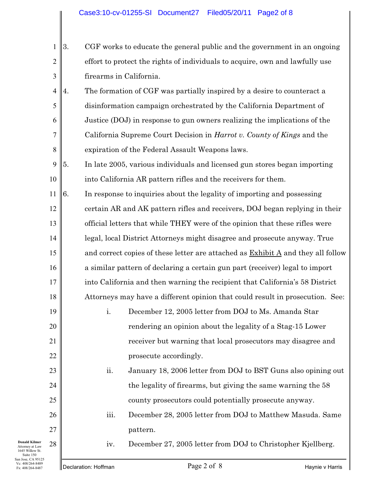- 1 2 3 3. CGF works to educate the general public and the government in an ongoing effort to protect the rights of individuals to acquire, own and lawfully use firearms in California.
- 4 5 6 7 8 4. The formation of CGF was partially inspired by a desire to counteract a disinformation campaign orchestrated by the California Department of Justice (DOJ) in response to gun owners realizing the implications of the California Supreme Court Decision in *Harrot v. County of Kings* and the expiration of the Federal Assault Weapons laws.
- 9 10 5. In late 2005, various individuals and licensed gun stores began importing into California AR pattern rifles and the receivers for them.
- 11 12 13 14 15 16 17 18 6. In response to inquiries about the legality of importing and possessing certain AR and AK pattern rifles and receivers, DOJ began replying in their official letters that while THEY were of the opinion that these rifles were legal, local District Attorneys might disagree and prosecute anyway. True and correct copies of these letter are attached as Exhibit A and they all follow a similar pattern of declaring a certain gun part (receiver) legal to import into California and then warning the recipient that California's 58 District Attorneys may have a different opinion that could result in prosecution. See:
	- i. December 12, 2005 letter from DOJ to Ms. Amanda Star rendering an opinion about the legality of a Stag-15 Lower receiver but warning that local prosecutors may disagree and prosecute accordingly.
		- ii. January 18, 2006 letter from DOJ to BST Guns also opining out the legality of firearms, but giving the same warning the 58 county prosecutors could potentially prosecute anyway.
		- iii. December 28, 2005 letter from DOJ to Matthew Masuda. Same pattern.

iv. December 27, 2005 letter from DOJ to Christopher Kjellberg.

19

20

21

22

23

24

25

26

27

28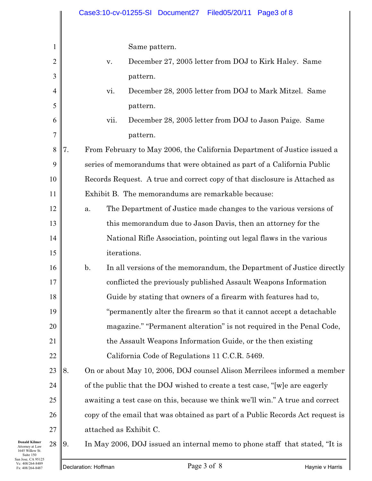|                | Case3:10-cv-01255-SI Document27 Filed05/20/11<br>Page3 of 8                             |
|----------------|-----------------------------------------------------------------------------------------|
|                |                                                                                         |
|                | Same pattern.                                                                           |
| $\overline{c}$ | December 27, 2005 letter from DOJ to Kirk Haley. Same<br>$\mathbf{V}$ .                 |
| 3              | pattern.                                                                                |
| 4              | vi.<br>December 28, 2005 letter from DOJ to Mark Mitzel. Same                           |
| 5              | pattern.                                                                                |
| 6              | December 28, 2005 letter from DOJ to Jason Paige. Same<br>vii.                          |
| 7              | pattern.                                                                                |
| $8\,$          | From February to May 2006, the California Department of Justice issued a<br>7.          |
| 9              | series of memorandums that were obtained as part of a California Public                 |
| 10             | Records Request. A true and correct copy of that disclosure is Attached as              |
| 11             | Exhibit B. The memorandums are remarkable because:                                      |
| 12             | The Department of Justice made changes to the various versions of<br>a.                 |
| 13             | this memorandum due to Jason Davis, then an attorney for the                            |
| 14             | National Rifle Association, pointing out legal flaws in the various                     |
| 15             | iterations.                                                                             |
| 16             | $\mathbf{b}$ .<br>In all versions of the memorandum, the Department of Justice directly |
| 17             | conflicted the previously published Assault Weapons Information                         |
| 18             | Guide by stating that owners of a firearm with features had to,                         |
| 19             | "permanently alter the firearm so that it cannot accept a detachable                    |
| 20             | magazine." "Permanent alteration" is not required in the Penal Code,                    |
| 21             | the Assault Weapons Information Guide, or the then existing                             |
| 22             | California Code of Regulations 11 C.C.R. 5469.                                          |
| 23             | 8.<br>On or about May 10, 2006, DOJ counsel Alison Merrilees informed a member          |
| 24             | of the public that the DOJ wished to create a test case, "[w]e are eagerly              |
| 25             | awaiting a test case on this, because we think we'll win." A true and correct           |
| 26             | copy of the email that was obtained as part of a Public Records Act request is          |
| 27             | attached as Exhibit C.                                                                  |
| 28             | In May 2006, DOJ issued an internal memo to phone staff that stated, "It is<br>9.       |

**Donald Kilmer**<br>
1645 Willow St.<br>
Suite 150<br>
San Jose, CA 95125<br>
Vc: 408/264-8489<br>
Fx: 408/264-8487

9. In May 2006, DOJ issued an internal memo to phone staff that stated, "It is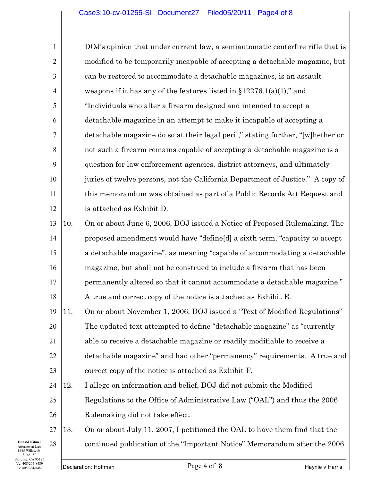1 2 3 4 5 6 7 8 9 10 11 12 DOJ's opinion that under current law, a semiautomatic centerfire rifle that is modified to be temporarily incapable of accepting a detachable magazine, but can be restored to accommodate a detachable magazines, is an assault weapons if it has any of the features listed in  $$12276.1(a)(1)$ ," and "Individuals who alter a firearm designed and intended to accept a detachable magazine in an attempt to make it incapable of accepting a detachable magazine do so at their legal peril," stating further, "[w]hether or not such a firearm remains capable of accepting a detachable magazine is a question for law enforcement agencies, district attorneys, and ultimately juries of twelve persons, not the California Department of Justice." A copy of this memorandum was obtained as part of a Public Records Act Request and is attached as Exhibit D.

13 14 15 16 17 18 10. On or about June 6, 2006, DOJ issued a Notice of Proposed Rulemaking. The proposed amendment would have "define[d] a sixth term, "capacity to accept a detachable magazine", as meaning "capable of accommodating a detachable magazine, but shall not be construed to include a firearm that has been permanently altered so that it cannot accommodate a detachable magazine." A true and correct copy of the notice is attached as Exhibit E.

19 20 21 22 23 11. On or about November 1, 2006, DOJ issued a "Text of Modified Regulations" The updated text attempted to define "detachable magazine" as "currently able to receive a detachable magazine or readily modifiable to receive a detachable magazine" and had other "permanency" requirements. A true and correct copy of the notice is attached as Exhibit F.

24 25 26 12. I allege on information and belief, DOJ did not submit the Modified Regulations to the Office of Administrative Law ("OAL") and thus the 2006 Rulemaking did not take effect.

27 28 13. On or about July 11, 2007, I petitioned the OAL to have them find that the continued publication of the "Important Notice" Memorandum after the 2006

**Donald Kilmer** Attorney at Law 1645 Willow St. Suite 150 San Jose, CA 95125 Vc: 408/264-8489 Fx: 408/264-8487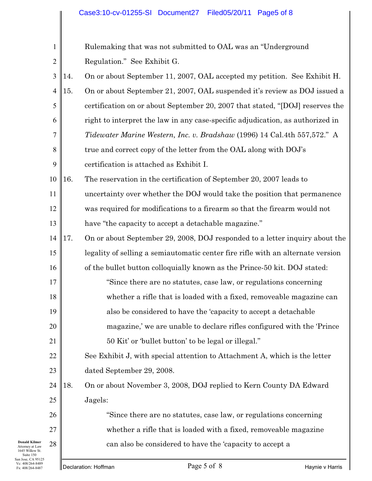## Case3:10-cv-01255-SI Document27 Filed05/20/11 Page5 of 8

| San Jose, CA 95125<br>Vc: 408/264-8489<br>Fx: 408/264-8487              |                | Page 5 of 8<br>Declaration: Hoffman<br>Haynie v Harris                             |
|-------------------------------------------------------------------------|----------------|------------------------------------------------------------------------------------|
| <b>Donald Kilmer</b><br>Attorney at Law<br>1645 Willow St.<br>Suite 150 | 28             | can also be considered to have the 'capacity to accept a                           |
|                                                                         | 27             | whether a rifle that is loaded with a fixed, removeable magazine                   |
|                                                                         | 26             | "Since there are no statutes, case law, or regulations concerning                  |
|                                                                         | 25             | Jagels:                                                                            |
|                                                                         | 24             | 18.<br>On or about November 3, 2008, DOJ replied to Kern County DA Edward          |
|                                                                         | 23             | dated September 29, 2008.                                                          |
|                                                                         | 22             | See Exhibit J, with special attention to Attachment A, which is the letter         |
|                                                                         | 21             | 50 Kit' or 'bullet button' to be legal or illegal."                                |
|                                                                         | 20             | magazine,' we are unable to declare rifles configured with the 'Prince             |
|                                                                         | 19             | also be considered to have the 'capacity to accept a detachable                    |
|                                                                         | $18\,$         | whether a rifle that is loaded with a fixed, removeable magazine can               |
|                                                                         | 17             | "Since there are no statutes, case law, or regulations concerning                  |
|                                                                         | 16             | of the bullet button colloquially known as the Prince-50 kit. DOJ stated:          |
|                                                                         | 15             | legality of selling a semiautomatic center fire rifle with an alternate version    |
|                                                                         | 14             | 17.<br>On or about September 29, 2008, DOJ responded to a letter inquiry about the |
|                                                                         | 13             | have "the capacity to accept a detachable magazine."                               |
|                                                                         | 12             | was required for modifications to a firearm so that the firearm would not          |
|                                                                         | 11             | uncertainty over whether the DOJ would take the position that permanence           |
|                                                                         | 10             | The reservation in the certification of September 20, 2007 leads to<br>16.         |
|                                                                         | 9              | certification is attached as Exhibit I.                                            |
|                                                                         | 8              | true and correct copy of the letter from the OAL along with DOJ's                  |
|                                                                         | 7              | Tidewater Marine Western, Inc. v. Bradshaw (1996) 14 Cal.4th 557,572." A           |
|                                                                         | 6              | right to interpret the law in any case-specific adjudication, as authorized in     |
|                                                                         | 5              | certification on or about September 20, 2007 that stated, "[DOJ] reserves the      |
|                                                                         | 4              | 15.<br>On or about September 21, 2007, OAL suspended it's review as DOJ issued a   |
|                                                                         | $\overline{3}$ | On or about September 11, 2007, OAL accepted my petition. See Exhibit H.<br>14.    |
|                                                                         | $\overline{2}$ | Regulation." See Exhibit G.                                                        |
|                                                                         | $\mathbf{1}$   | Rulemaking that was not submitted to OAL was an "Underground"                      |
|                                                                         |                |                                                                                    |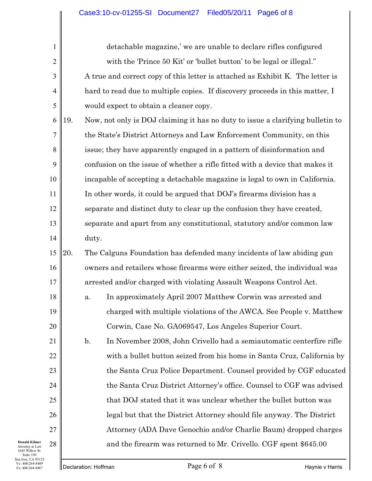detachable magazine,' we are unable to declare rifles configured with the 'Prince 50 Kit' or 'bullet button' to be legal or illegal." A true and correct copy of this letter is attached as Exhibit K. The letter is hard to read due to multiple copies. If discovery proceeds in this matter, I would expect to obtain a cleaner copy.

6 7 8 9 10 11 12 13 14 19. Now, not only is DOJ claiming it has no duty to issue a clarifying bulletin to the State's District Attorneys and Law Enforcement Community, on this issue; they have apparently engaged in a pattern of disinformation and confusion on the issue of whether a rifle fitted with a device that makes it incapable of accepting a detachable magazine is legal to own in California. In other words, it could be argued that DOJ's firearms division has a separate and distinct duty to clear up the confusion they have created, separate and apart from any constitutional, statutory and/or common law duty.

15 16 17 20. The Calguns Foundation has defended many incidents of law abiding gun owners and retailers whose firearms were either seized, the individual was arrested and/or charged with violating Assault Weapons Control Act.

18 19 20 a. In approximately April 2007 Matthew Corwin was arrested and charged with multiple violations of the AWCA. See People v. Matthew Corwin, Case No. GA069547, Los Angeles Superior Court.

b. In November 2008, John Crivello had a semiautomatic centerfire rifle with a bullet button seized from his home in Santa Cruz, California by the Santa Cruz Police Department. Counsel provided by CGF educated the Santa Cruz District Attorney's office. Counsel to CGF was advised that DOJ stated that it was unclear whether the bullet button was legal but that the District Attorney should file anyway. The District Attorney (ADA Dave Genochio and/or Charlie Baum) dropped charges and the firearm was returned to Mr. Crivello. CGF spent \$645.00

**Donald Kilmer** Attorney at Law 1645 Willow St. Suite 150 San Jose, CA 95125 Vc: 408/264-8489 Fx: 408/264-8487

21

22

23

24

25

26

27

28

1

2

3

4

5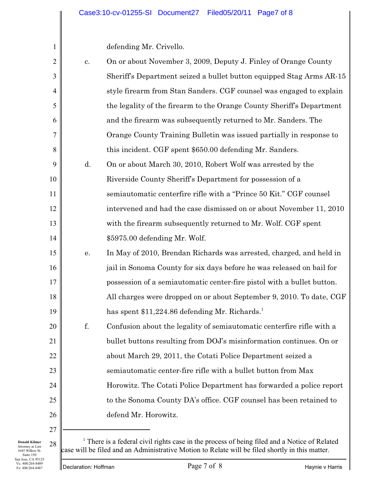defending Mr. Crivello.

1

| $\overline{2}$ | c. | On or about November 3, 2009, Deputy J. Finley of Orange County        |
|----------------|----|------------------------------------------------------------------------|
| 3              |    | Sheriff's Department seized a bullet button equipped Stag Arms AR-15   |
| $\overline{4}$ |    | style firearm from Stan Sanders. CGF counsel was engaged to explain    |
| 5              |    | the legality of the firearm to the Orange County Sheriff's Department  |
| 6              |    | and the firearm was subsequently returned to Mr. Sanders. The          |
| $\overline{7}$ |    | Orange County Training Bulletin was issued partially in response to    |
| 8              |    | this incident. CGF spent \$650.00 defending Mr. Sanders.               |
| 9              | d. | On or about March 30, 2010, Robert Wolf was arrested by the            |
| 10             |    | Riverside County Sheriff's Department for possession of a              |
| 11             |    | semiautomatic centerfire rifle with a "Prince 50 Kit." CGF counsel     |
| 12             |    | intervened and had the case dismissed on or about November 11, 2010    |
| 13             |    | with the firearm subsequently returned to Mr. Wolf. CGF spent          |
| 14             |    | \$5975.00 defending Mr. Wolf.                                          |
| 15             | е. | In May of 2010, Brendan Richards was arrested, charged, and held in    |
| 16             |    | jail in Sonoma County for six days before he was released on bail for  |
| 17             |    | possession of a semiautomatic center-fire pistol with a bullet button. |
| 18             |    | All charges were dropped on or about September 9, 2010. To date, CGF   |
| 19             |    | has spent \$11,224.86 defending Mr. Richards. <sup>1</sup>             |
| 20             | f. | Confusion about the legality of semiautomatic centerfire rifle with a  |
| 21             |    | bullet buttons resulting from DOJ's misinformation continues. On or    |
| 22             |    | about March 29, 2011, the Cotati Police Department seized a            |
| 23             |    | semiautomatic center-fire rifle with a bullet button from Max          |
| 24             |    | Horowitz. The Cotati Police Department has forwarded a police report   |
| 25             |    | to the Sonoma County DA's office. CGF counsel has been retained to     |
| 26             |    | defend Mr. Horowitz.                                                   |
| 27             |    |                                                                        |

**Donald Kilmer** Attorney at Law 1645 Willow St. Suite 150 San Jose, CA 95125 Vc: 408/264-8489 Fx: 408/264-8487

 $28 \parallel$  There is a federal civil rights case in the process of being filed and a Notice of Related case will be filed and an Administrative Motion to Relate will be filed shortly in this matter.